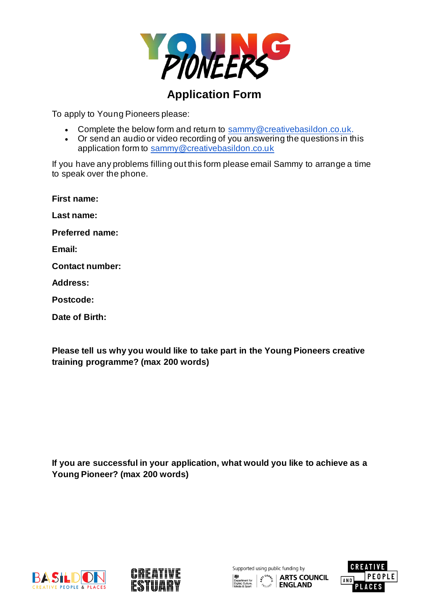

## **Application Form**

To apply to Young Pioneers please:

- Complete the below form and return to [sammy@creativebasildon.co.uk](mailto:sammy@creativebasildon.co.uk).
- Or send an audio or video recording of you answering the questions in this application form to [sammy@creativebasildon.co.uk](mailto:sammy@creativebasildon.co.uk)

If you have any problems filling out this form please email Sammy to arrange a time to speak over the phone.

**First name:**

**Last name:** 

**Preferred name:**

**Email:**

**Contact number:**

**Address:** 

**Postcode:**

**Date of Birth:**

**Please tell us why you would like to take part in the Young Pioneers creative training programme? (max 200 words)**

**If you are successful in your application, what would you like to achieve as a Young Pioneer? (max 200 words)**





Supported using public funding by **EDUATE COUNCIL ENGLAND** 

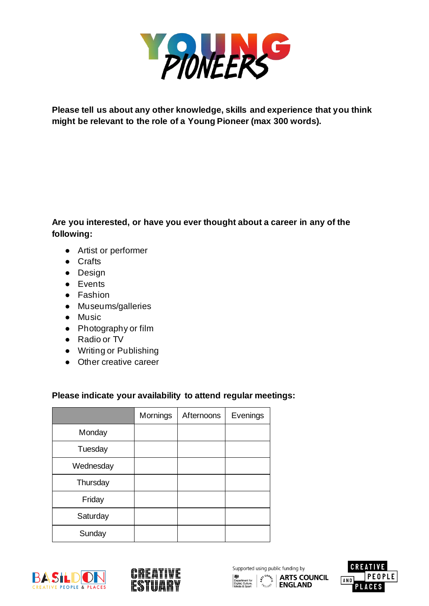

**Please tell us about any other knowledge, skills and experience that you think might be relevant to the role of a Young Pioneer (max 300 words).** 

## **Are you interested, or have you ever thought about a career in any of the following:**

- Artist or performer
- Crafts
- Design
- Events
- Fashion
- Museums/galleries
- Music
- Photography or film
- Radio or TV
- Writing or Publishing
- Other creative career

## **Please indicate your availability to attend regular meetings:**

|           | Mornings | Afternoons | Evenings |
|-----------|----------|------------|----------|
| Monday    |          |            |          |
| Tuesday   |          |            |          |
| Wednesday |          |            |          |
| Thursday  |          |            |          |
| Friday    |          |            |          |
| Saturday  |          |            |          |
| Sunday    |          |            |          |





Supported using public funding by  $\left| \begin{array}{c} \left| \mathcal{L} \right| \leq \left| \mathcal{L} \right| \leq \mathsf{R} \end{array} \right|$  arts council  $\left| \begin{array}{c} \mathsf{R} \left| \mathcal{L} \right| \leq \mathsf{R} \end{array} \right|$